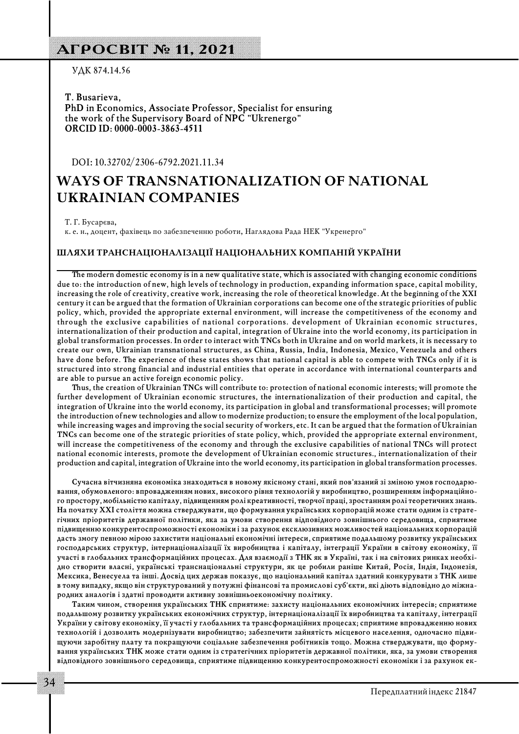## **АГРОСВІТ № 11, 2021**

УДК 874.14.56

**T. Busarieva, PhD in Economics, Associate Professor, Specialist for ensuring the work of the Supervisory Board of NPC "Ukrenergo" ORCID ID: 0000-0003-3863-4511** 

DOI: 10.32702/2306-6792.2021.11.34

# **WAYS OF TRANSNATIONALIZATION OF NATIONAL UKRAINIAN COMPANIES**

Т. Г. Бусарєва,

к. е. н., доцент, фахівець по забезпеченню роботи, Наглядова Рада НЕК "Укренерго"

#### **ШЛЯХИ ТРАНСНАЦІОНАЛІЗАЦІЇ НАЦІОНАЛЬНИХ КОМПАНІЙ УКРАЇНИ**

**The modern domestic economy is in a new qualitative state, which is associated with changing economic conditions due to: the introduction of new, high levels of technology in production, expanding information space, capital mobility, increasing the role of creativity, creative work, increasing the role of theoretical knowledge. At the beginning of the XXI century it can be argued that the formation of Ukrainian corporations can become one of the strategic priorities of public policy, which, provided the appropriate external environment, will increase the competitiveness of the economy and through the exclusive capabilities of national corporations. development of Ukrainian economic structures, internationalization of their production and capital, integration of Ukraine into the world economy, its participation in global transformation processes. In order to interact with TNCs both in Ukraine and on world markets, it is necessary to create our own, Ukrainian transnational structures, as China, Russia, India, Indonesia, Mexico, Venezuela and others have done before. The experience of these states shows that national capital is able to compete with TNCs only if it is structured into strong financial and industrial entities that operate in accordance with international counterparts and are able to pursue an active foreign economic policy.**

**Thus, the creation of Ukrainian TNCs will contribute to: protection of national economic interests; will promote the further development of Ukrainian economic structures, the internationalization of their production and capital, the integration of Ukraine into the world economy, its participation in global and transformational processes; will promote the introduction of new technologies and allow to modernize production; to ensure the employment of the local population, while increasing wages and improving the social security of workers, etc. It can be argued that the formation of Ukrainian TNCs can become one of the strategic priorities of state policy, which, provided the appropriate external environment, will increase the competitiveness of the economy and through the exclusive capabilities of national TNCs will protect national economic interests, promote the development of Ukrainian economic structures., internationalization of their production and capital, integration of Ukraine into the world economy, its participation in global transformation processes.**

Сучасна вітчизняна економіка знаходиться в новому якісному стані, який пов'язаний зі зміною умов господарювання, обумовленого: впровадженням нових, високого рівня технологій у виробництво, розширенням інформаційно**го простору, мобільністю капіталу, підвищенням ролі креативності, творчої праці, зростанням ролі теоретичних знань.** На початку XXI століття можна стверджувати, що формування українських корпорацій може стати одним із страте**гічних пріоритетів державної політики, яка за умови створення відповідного зовнішнього середовища, сприятиме підвищенню конкурентоспроможності економіки і за рахунок ексклюзивних можливостей національних корпорацій дасть змогу певною мірою захистити національні економічні інтереси, сприятиме подальшому розвитку українських господарських структур, інтернаціоналізації їх виробництва і капіталу, інтеграції України в світову економіку, її** участі в глобальних трансформаційних процесах. Для взаємодії з ТНК як в Україні, так і на світових ринках необхі**дно створити власні, українські транснаціональні структури, як це робили раніше Китай, Росія, Індія, Індонезія, Мексика, Венесуела та інші. Досвід цих держав показує, що національний капітал здатний конкурувати з ТНК лише** в тому випадку, якщо він структурований у потужні фінансові та промислові суб'єкти, які діють відповідно до міжна**родних аналогів і здатні проводити активну зовнішньоекономічну політику.**

**Таким чином, створення українських ТНК сприятиме: захисту національних економічних інтересів; сприятиме подальшому розвитку українських економічних структур, інтернаціоналізації їх виробництва та капіталу, інтеграції України у світову економіку, її участі у глобальних та трансформаційних процесах; сприятиме впровадженню нових** технологій і дозволить модернізувати виробництво; забезпечити зайнятість місцевого населення, одночасно підвищуючи заробітну плату та покращуючи соціальне забезпечення робітників тощо. Можна стверджувати, що форму**вання українських ТНК може стати одним із стратегічних пріоритетів державної політики, яка, за умови створення** відповідного зовнішнього середовища, сприятиме підвищенню конкурентоспроможності економіки і за рахунок ек-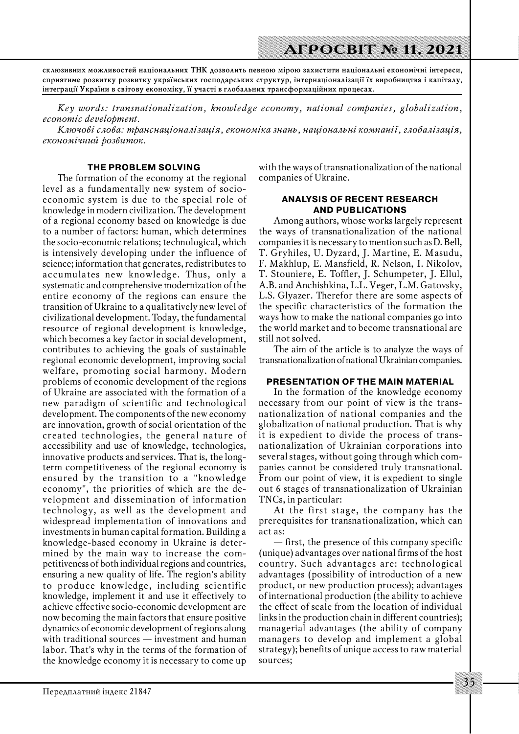**склюзивних можливостей національних ТНК дозволить певною мірою захистити національні економічні інтереси, сприятиме розвитку розвитку українських господарських структур, інтернаціоналізації їх виробництва і капіталу, інтеграції України в світову економіку, її участі в глобальних трансформаційних процесах.**

*Key words: transnationalization, knowledge economy, national companies, globalization, economic development.*

*Ключові слова: транснаціоналізація, економіка знань, національні компанії, глобалізація, економічний розвиток.*

### **THE PROBLEM SOLVING**

The formation of the economy at the regional level as a fundamentally new system of socioeconomic system is due to the special role of knowledge in modern civilization. The development of a regional economy based on knowledge is due to a number of factors: human, which determines the socio-economic relations; technological, which is intensively developing under the influence of science; information that generates, redistributes to accumulates new knowledge. Thus, only a systematic and comprehensive modernization of the entire economy of the regions can ensure the transition of Ukraine to a qualitatively new level of civilizational development. Today, the fundamental resource of regional development is knowledge, which becomes a key factor in social development, contributes to achieving the goals of sustainable regional economic development, improving social welfare, promoting social harmony. Modern problems of economic development of the regions of Ukraine are associated with the formation of a new paradigm of scientific and technological development. The components of the new economy are innovation, growth of social orientation of the created technologies, the general nature of accessibility and use of knowledge, technologies, innovative products and services. That is, the longterm competitiveness of the regional economy is ensured by the transition to a "knowledge economy", the priorities of which are the development and dissemination of information technology, as well as the development and widespread implementation of innovations and investments in human capital formation. Building a knowledge-based economy in Ukraine is determined by the main way to increase the competitiveness of both individual regions and countries, ensuring a new quality of life. The region's ability to produce knowledge, including scientific knowledge, implement it and use it effectively to achieve effective socio-economic development are now becoming the main factors that ensure positive dynamics of economic development of regions along with traditional sources — investment and human labor. That's why in the terms of the formation of the knowledge economy it is necessary to come up

with the ways of transnationalization of the national companies of Ukraine.

### **ANALYSIS OF RECENT RESEARCH AND PUBLICATIONS**

Among authors, whose works largely represent the ways of transnationalization of the national companies it is necessary to mention such as D. Bell, T. Gryhiles, U. Dyzard, J. Martine, E. Masudu, F. Makhlup, E. Mansfield, R. Nelson, I. Nikolov, T. Stouniere, E. Toffler, J. Schumpeter, J. Ellul, A.B. аnd Anchishkina, L.L. Veger, L.M. Gatovsky, L.S. Glyazer. Therefor there are some aspects of the specific characteristics of the formation the ways how to make the national companies go into the world market and to become transnational are still not solved.

The aim of the article is to analyze the ways of transnationalization of national Ukrainian companies.

### **PRESENTATION OF THE MAIN MATERIAL**

In the formation of the knowledge economy necessary from our point of view is the transnationalization of national companies and the globalization of national production. That is why it is expedient to divide the process of transnationalization of Ukrainian corporations into several stages, without going through which companies cannot be considered truly transnational. From our point of view, it is expedient to single out 6 stages of transnationalization of Ukrainian TNCs, in particular:

At the first stage, the company has the prerequisites for transnationalization, which can act as:

— first, the presence of this company specific (unique) advantages over national firms of the host country. Such advantages are: technological advantages (possibility of introduction of a new product, or new production process); advantages of international production (the ability to achieve the effect of scale from the location of individual links in the production chain in different countries); managerial advantages (the ability of company managers to develop and implement a global strategy); benefits of unique access to raw material sources;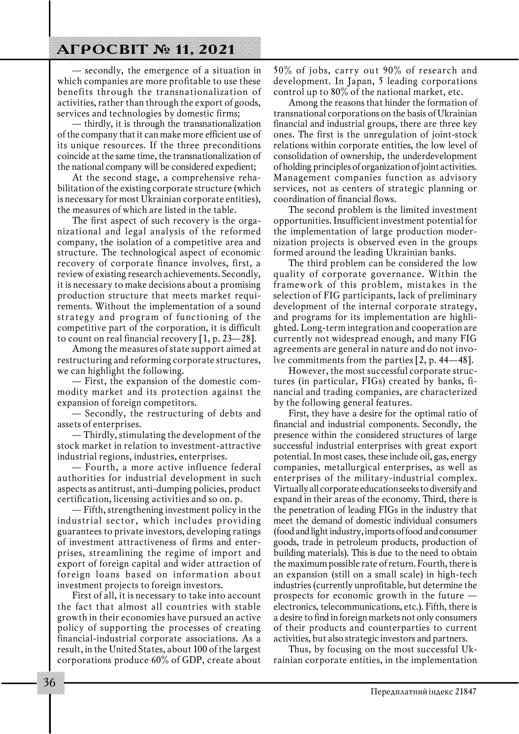## **АГРОСВІТ № 11, 2021**

— secondly, the emergence of a situation in which companies are more profitable to use these benefits through the transnationalization of activities, rather than through the export of goods, services and technologies by domestic firms;

— thirdly, it is through the transnationalization of the company that it can make more efficient use of its unique resources. If the three preconditions coincide at the same time, the transnationalization of the national company will be considered expedient;

At the second stage, a comprehensive rehabilitation of the existing corporate structure (which is necessary for most Ukrainian corporate entities), the measures of which are listed in the table.

The first aspect of such recovery is the organizational and legal analysis of the reformed company, the isolation of a competitive area and structure. The technological aspect of economic recovery of corporate finance involves, first, a review of existing research achievements. Secondly, it is necessary to make decisions about a promising production structure that meets market requirements. Without the implementation of a sound strategy and program of functioning of the competitive part of the corporation, it is difficult to count on real financial recovery  $[1, p. 23-28]$ .

Among the measures of state support aimed at restructuring and reforming corporate structures, we can highlight the following.

– First, the expansion of the domestic commodity market and its protection against the expansion of foreign competitors.

— Secondly, the restructuring of debts and assets of enterprises.

— Thirdly, stimulating the development of the stock market in relation to investment-attractive industrial regions, industries, enterprises.

— Fourth, a more active influence federal authorities for industrial development in such aspects as antitrust, anti-dumping policies, product certification, licensing activities and so on. p.

— Fifth, strengthening investment policy in the industrial sector, which includes providing guarantees to private investors, developing ratings of investment attractiveness of firms and enter& prises, streamlining the regime of import and export of foreign capital and wider attraction of foreign loans based on information about investment projects to foreign investors.

First of all, it is necessary to take into account the fact that almost all countries with stable growth in their economies have pursued an active policy of supporting the processes of creating financial-industrial corporate associations. As a result, in the United States, about 100 of the largest corporations produce 60% of GDP, create about 50% of jobs, carry out 90% of research and development. In Japan, 5 leading corporations control up to 80% of the national market, etc.

Among the reasons that hinder the formation of transnational corporations on the basis of Ukrainian financial and industrial groups, there are three key ones. The first is the unregulation of joint-stock relations within corporate entities, the low level of consolidation of ownership, the underdevelopment of holding principles of organization of joint activities. Management companies function as advisory services, not as centers of strategic planning or coordination of financial flows.

The second problem is the limited investment opportunities. Insufficient investment potential for the implementation of large production modernization projects is observed even in the groups formed around the leading Ukrainian banks.

The third problem can be considered the low quality of corporate governance. Within the framework of this problem, mistakes in the selection of FIG participants, lack of preliminary development of the internal corporate strategy, and programs for its implementation are highlighted. Long-term integration and cooperation are currently not widespread enough, and many FIG agreements are general in nature and do not involve commitments from the parties [2, p. 44—48].

However, the most successful corporate structures (in particular, FIGs) created by banks, financial and trading companies, are characterized by the following general features.

First, they have a desire for the optimal ratio of financial and industrial components. Secondly, the presence within the considered structures of large successful industrial enterprises with great export potential. In most cases, these include oil, gas, energy companies, metallurgical enterprises, as well as enterprises of the military-industrial complex. Virtually all corporate education seeks to diversify and expand in their areas of the economy. Third, there is the penetration of leading FIGs in the industry that meet the demand of domestic individual consumers (food and light industry, imports of food and consumer goods, trade in petroleum products, production of building materials). This is due to the need to obtain the maximum possible rate of return. Fourth, there is an expansion (still on a small scale) in high-tech industries (currently unprofitable, but determine the prospects for economic growth in the future electronics, telecommunications, etc.). Fifth, there is a desire to find in foreign markets not only consumers of their products and counterparties to current activities, but also strategic investors and partners.

Thus, by focusing on the most successful Uk& rainian corporate entities, in the implementation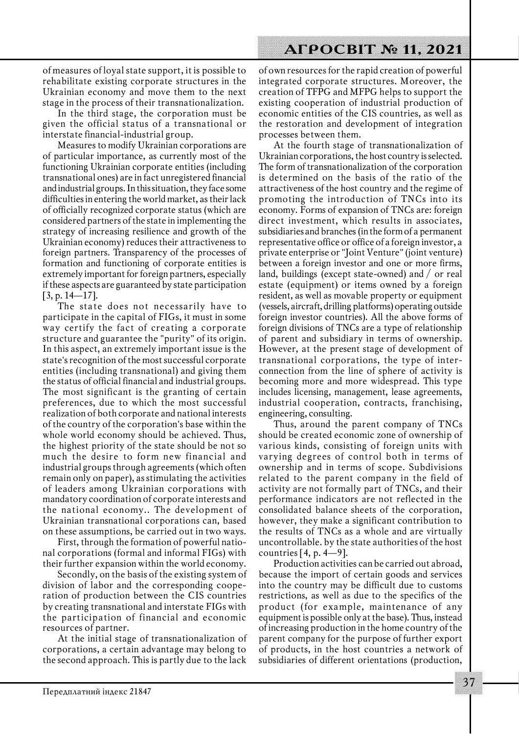of measures of loyal state support, it is possible to rehabilitate existing corporate structures in the Ukrainian economy and move them to the next stage in the process of their transnationalization.

In the third stage, the corporation must be given the official status of a transnational or interstate financial-industrial group.

Measures to modify Ukrainian corporations are of particular importance, as currently most of the functioning Ukrainian corporate entities (including transnational ones) are in fact unregistered financial and industrial groups. In this situation, they face some difficulties in entering the world market, as their lack of officially recognized corporate status (which are considered partners of the state in implementing the strategy of increasing resilience and growth of the Ukrainian economy) reduces their attractiveness to foreign partners. Transparency of the processes of formation and functioning of corporate entities is extremely important for foreign partners, especially if these aspects are guaranteed by state participation [3, p. 14—17].

The state does not necessarily have to participate in the capital of FIGs, it must in some way certify the fact of creating a corporate structure and guarantee the "purity" of its origin. In this aspect, an extremely important issue is the state's recognition of the most successful corporate entities (including transnational) and giving them the status of official financial and industrial groups. The most significant is the granting of certain preferences, due to which the most successful realization of both corporate and national interests of the country of the corporation's base within the whole world economy should be achieved. Thus, the highest priority of the state should be not so much the desire to form new financial and industrial groups through agreements (which often remain only on paper), as stimulating the activities of leaders among Ukrainian corporations with mandatory coordination of corporate interests and the national economy.. The development of Ukrainian transnational corporations can, based on these assumptions, be carried out in two ways.

First, through the formation of powerful national corporations (formal and informal FIGs) with their further expansion within the world economy.

Secondly, on the basis of the existing system of division of labor and the corresponding cooperation of production between the CIS countries by creating transnational and interstate FIGs with the participation of financial and economic resources of partner.

At the initial stage of transnationalization of corporations, a certain advantage may belong to the second approach. This is partly due to the lack

of own resources for the rapid creation of powerful integrated corporate structures. Moreover, the creation of TFPG and MFPG helps to support the existing cooperation of industrial production of economic entities of the CIS countries, as well as the restoration and development of integration processes between them.

At the fourth stage of transnationalization of Ukrainian corporations, the host country is selected. The form of transnationalization of the corporation is determined on the basis of the ratio of the attractiveness of the host country and the regime of promoting the introduction of TNCs into its economy. Forms of expansion of TNCs are: foreign direct investment, which results in associates, subsidiaries and branches (in the form of a permanent representative office or office of a foreign investor, a private enterprise or "Joint Venture" (joint venture) between a foreign investor and one or more firms, land, buildings (except state-owned) and  $/$  or real estate (equipment) or items owned by a foreign resident, as well as movable property or equipment (vessels, aircraft, drilling platforms) operating outside foreign investor countries). All the above forms of foreign divisions of TNCs are a type of relationship of parent and subsidiary in terms of ownership. However, at the present stage of development of transnational corporations, the type of inter& connection from the line of sphere of activity is becoming more and more widespread. This type includes licensing, management, lease agreements, industrial cooperation, contracts, franchising, engineering, consulting.

Thus, around the parent company of TNCs should be created economic zone of ownership of various kinds, consisting of foreign units with varying degrees of control both in terms of ownership and in terms of scope. Subdivisions related to the parent company in the field of activity are not formally part of TNCs, and their performance indicators are not reflected in the consolidated balance sheets of the corporation, however, they make a significant contribution to the results of TNCs as a whole and are virtually uncontrollable. by the state authorities of the host countries [4, p.  $4-9$ ].

Production activities can be carried out abroad, because the import of certain goods and services into the country may be difficult due to customs restrictions, as well as due to the specifics of the product (for example, maintenance of any equipment is possible only at the base). Thus, instead of increasing production in the home country of the parent company for the purpose of further export of products, in the host countries a network of subsidiaries of different orientations (production,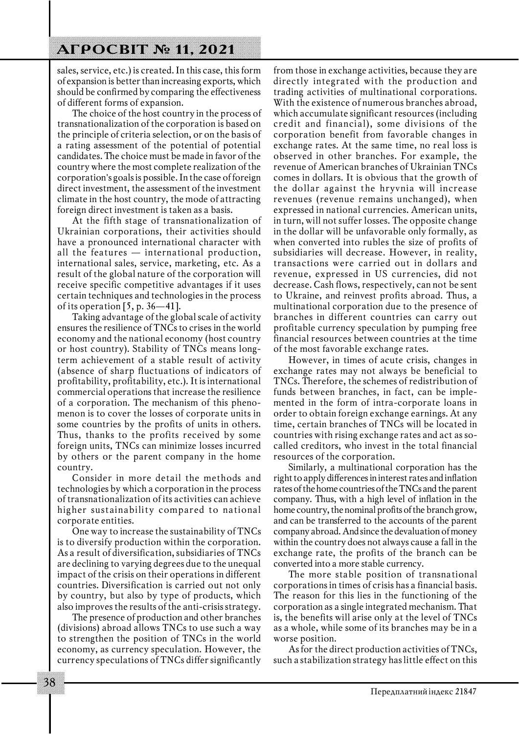sales, service, etc.) is created. In this case, this form of expansion is better than increasing exports, which should be confirmed by comparing the effectiveness of different forms of expansion.

The choice of the host country in the process of transnationalization of the corporation is based on the principle of criteria selection, or on the basis of a rating assessment of the potential of potential candidates. The choice must be made in favor of the country where the most complete realization of the corporation's goals is possible. In the case of foreign direct investment, the assessment of the investment climate in the host country, the mode of attracting foreign direct investment is taken as a basis.

At the fifth stage of transnationalization of Ukrainian corporations, their activities should have a pronounced international character with all the features — international production, international sales, service, marketing, etc. As a result of the global nature of the corporation will receive specific competitive advantages if it uses certain techniques and technologies in the process of its operation  $[5, p. 36-41]$ .

Taking advantage of the global scale of activity ensures the resilience of TNCs to crises in the world economy and the national economy (host country or host country). Stability of TNCs means longterm achievement of a stable result of activity (absence of sharp fluctuations of indicators of profitability, profitability, etc.). It is international commercial operations that increase the resilience of a corporation. The mechanism of this phenomenon is to cover the losses of corporate units in some countries by the profits of units in others. Thus, thanks to the profits received by some foreign units, TNCs can minimize losses incurred by others or the parent company in the home country.

Consider in more detail the methods and technologies by which a corporation in the process of transnationalization of its activities can achieve higher sustainability compared to national corporate entities.

One way to increase the sustainability of TNCs is to diversify production within the corporation. As a result of diversification, subsidiaries of TNCs are declining to varying degrees due to the unequal impact of the crisis on their operations in different countries. Diversification is carried out not only by country, but also by type of products, which also improves the results of the anti-crisis strategy.

The presence of production and other branches (divisions) abroad allows TNCs to use such a way to strengthen the position of TNCs in the world economy, as currency speculation. However, the currency speculations of TNCs differ significantly from those in exchange activities, because they are directly integrated with the production and trading activities of multinational corporations. With the existence of numerous branches abroad, which accumulate significant resources (including credit and financial), some divisions of the corporation benefit from favorable changes in exchange rates. At the same time, no real loss is observed in other branches. For example, the revenue of American branches of Ukrainian TNCs comes in dollars. It is obvious that the growth of the dollar against the hryvnia will increase revenues (revenue remains unchanged), when expressed in national currencies. American units, in turn, will not suffer losses. The opposite change in the dollar will be unfavorable only formally, as when converted into rubles the size of profits of subsidiaries will decrease. However, in reality, transactions were carried out in dollars and revenue, expressed in US currencies, did not decrease. Cash flows, respectively, can not be sent to Ukraine, and reinvest profits abroad. Thus, a multinational corporation due to the presence of branches in different countries can carry out profitable currency speculation by pumping free financial resources between countries at the time of the most favorable exchange rates.

However, in times of acute crisis, changes in exchange rates may not always be beneficial to TNCs. Therefore, the schemes of redistribution of funds between branches, in fact, can be implemented in the form of intra-corporate loans in order to obtain foreign exchange earnings. At any time, certain branches of TNCs will be located in countries with rising exchange rates and act as socalled creditors, who invest in the total financial resources of the corporation.

Similarly, a multinational corporation has the right to apply differences in interest rates and inflation rates of the home countries of the TNCs and the parent company. Thus, with a high level of inflation in the home country, the nominal profits of the branch grow, and can be transferred to the accounts of the parent company abroad. And since the devaluation of money within the country does not always cause a fall in the exchange rate, the profits of the branch can be converted into a more stable currency.

The more stable position of transnational corporations in times of crisis has a financial basis. The reason for this lies in the functioning of the corporation as a single integrated mechanism. That is, the benefits will arise only at the level of TNCs as a whole, while some of its branches may be in a worse position.

As for the direct production activities of TNCs, such a stabilization strategy has little effect on this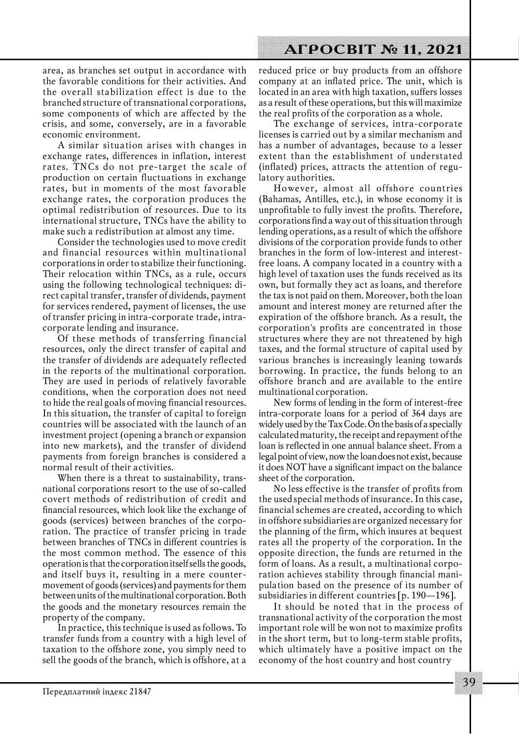area, as branches set output in accordance with the favorable conditions for their activities. And the overall stabilization effect is due to the branched structure of transnational corporations, some components of which are affected by the crisis, and some, conversely, are in a favorable economic environment.

A similar situation arises with changes in exchange rates, differences in inflation, interest rates. TNCs do not pre-target the scale of production on certain fluctuations in exchange rates, but in moments of the most favorable exchange rates, the corporation produces the optimal redistribution of resources. Due to its international structure, TNCs have the ability to make such a redistribution at almost any time.

Consider the technologies used to move credit and financial resources within multinational corporations in order to stabilize their functioning. Their relocation within TNCs, as a rule, occurs using the following technological techniques: direct capital transfer, transfer of dividends, payment for services rendered, payment of licenses, the use of transfer pricing in intra-corporate trade, intracorporate lending and insurance.

Of these methods of transferring financial resources, only the direct transfer of capital and the transfer of dividends are adequately reflected in the reports of the multinational corporation. They are used in periods of relatively favorable conditions, when the corporation does not need to hide the real goals of moving financial resources. In this situation, the transfer of capital to foreign countries will be associated with the launch of an investment project (opening a branch or expansion into new markets), and the transfer of dividend payments from foreign branches is considered a normal result of their activities.

When there is a threat to sustainability, transnational corporations resort to the use of so-called covert methods of redistribution of credit and financial resources, which look like the exchange of goods (services) between branches of the corporation. The practice of transfer pricing in trade between branches of TNCs in different countries is the most common method. The essence of this operation is that the corporation itself sells the goods, and itself buys it, resulting in a mere countermovement of goods (services) and payments for them between units of the multinational corporation. Both the goods and the monetary resources remain the property of the company.

In practice, this technique is used as follows. To transfer funds from a country with a high level of taxation to the offshore zone, you simply need to sell the goods of the branch, which is offshore, at a

reduced price or buy products from an offshore company at an inflated price. The unit, which is located in an area with high taxation, suffers losses as a result of these operations, but this will maximize the real profits of the corporation as a whole.

The exchange of services, intra-corporate licenses is carried out by a similar mechanism and has a number of advantages, because to a lesser extent than the establishment of understated (inflated) prices, attracts the attention of regulatory authorities.

However, almost all offshore countries (Bahamas, Antilles, etc.), in whose economy it is unprofitable to fully invest the profits. Therefore, corporations find a way out of this situation through lending operations, as a result of which the offshore divisions of the corporation provide funds to other branches in the form of low-interest and interestfree loans. A company located in a country with a high level of taxation uses the funds received as its own, but formally they act as loans, and therefore the tax is not paid on them. Moreover, both the loan amount and interest money are returned after the expiration of the offshore branch. As a result, the corporation's profits are concentrated in those structures where they are not threatened by high taxes, and the formal structure of capital used by various branches is increasingly leaning towards borrowing. In practice, the funds belong to an offshore branch and are available to the entire multinational corporation.

New forms of lending in the form of interest-free intra-corporate loans for a period of 364 days are widely used by the Tax Code. On the basis of a specially calculated maturity, the receipt and repayment of the loan is reflected in one annual balance sheet. From a legal point of view, now the loan does not exist, because it does NOT have a significant impact on the balance sheet of the corporation.

No less effective is the transfer of profits from the used special methods of insurance. In this case, financial schemes are created, according to which in offshore subsidiaries are organized necessary for the planning of the firm, which insures at bequest rates all the property of the corporation. In the opposite direction, the funds are returned in the form of loans. As a result, a multinational corporation achieves stability through financial manipulation based on the presence of its number of subsidiaries in different countries [p. 190—196].

It should be noted that in the process of transnational activity of the corporation the most important role will be won not to maximize profits in the short term, but to long-term stable profits, which ultimately have a positive impact on the economy of the host country and host country